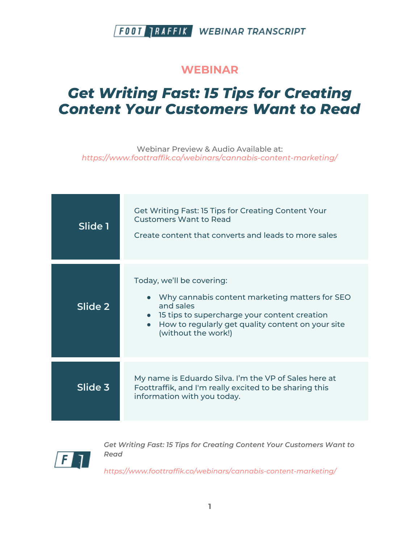#### **WEBINAR**

# *Get Writing Fast: 15 Tips for Creating Content Your Customers Want to Read*

Webinar Preview & Audio Available at: *https://www.foottraffik.co/webinars/cannabis-content-marketing/*

| Slide 1 | <b>Get Writing Fast: 15 Tips for Creating Content Your</b><br><b>Customers Want to Read</b><br>Create content that converts and leads to more sales                                                                                 |
|---------|-------------------------------------------------------------------------------------------------------------------------------------------------------------------------------------------------------------------------------------|
| Slide 2 | Today, we'll be covering:<br>Why cannabis content marketing matters for SEO<br>and sales<br>• 15 tips to supercharge your content creation<br>How to regularly get quality content on your site<br>$\bullet$<br>(without the work!) |
| Slide 3 | My name is Eduardo Silva. I'm the VP of Sales here at<br>Foottraffik, and I'm really excited to be sharing this<br>information with you today.                                                                                      |



*Get Writing Fast: 15 Tips for Creating Content Your Customers Want to Read*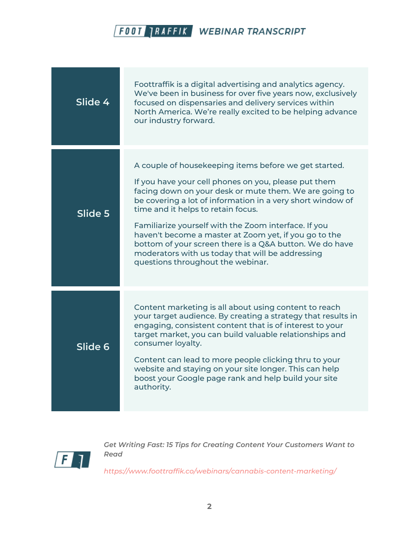

| Slide 4 | Foottraffik is a digital advertising and analytics agency.<br>We've been in business for over five years now, exclusively<br>focused on dispensaries and delivery services within<br>North America. We're really excited to be helping advance<br>our industry forward.                                                                                                                                                                                                                                                                          |
|---------|--------------------------------------------------------------------------------------------------------------------------------------------------------------------------------------------------------------------------------------------------------------------------------------------------------------------------------------------------------------------------------------------------------------------------------------------------------------------------------------------------------------------------------------------------|
| Slide 5 | A couple of housekeeping items before we get started.<br>If you have your cell phones on you, please put them<br>facing down on your desk or mute them. We are going to<br>be covering a lot of information in a very short window of<br>time and it helps to retain focus.<br>Familiarize yourself with the Zoom interface. If you<br>haven't become a master at Zoom yet, if you go to the<br>bottom of your screen there is a Q&A button. We do have<br>moderators with us today that will be addressing<br>questions throughout the webinar. |
| Slide 6 | Content marketing is all about using content to reach<br>your target audience. By creating a strategy that results in<br>engaging, consistent content that is of interest to your<br>target market, you can build valuable relationships and<br>consumer loyalty.<br>Content can lead to more people clicking thru to your<br>website and staying on your site longer. This can help<br>boost your Google page rank and help build your site<br>authority.                                                                                       |



*Get Writing Fast: 15 Tips for Creating Content Your Customers Want to Read*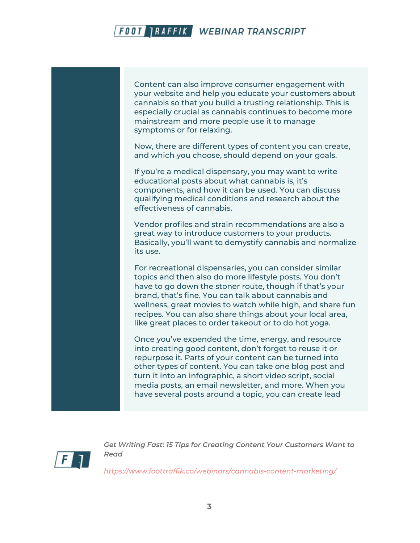

Now, there are different types of content you can create, and which you choose, should depend on your goals.

If you're a medical dispensary, you may want to write educational posts about what cannabis is, it's components, and how it can be used. You can discuss qualifying medical conditions and research about the effectiveness of cannabis.

Vendor profiles and strain recommendations are also a great way to introduce customers to your products. Basically, you'll want to demystify cannabis and normalize its use.

For recreational dispensaries, you can consider similar topics and then also do more lifestyle posts. You don't have to go down the stoner route, though if that's your brand, that's fine. You can talk about cannabis and wellness, great movies to watch while high, and share fun recipes. You can also share things about your local area, like great places to order takeout or to do hot yoga.

Once you've expended the time, energy, and resource into creating good content, don't forget to reuse it or repurpose it. Parts of your content can be turned into other types of content. You can take one blog post and turn it into an infographic, a short video script, social media posts, an email newsletter, and more. When you have several posts around a topic, you can create lead



*Get Writing Fast: 15 Tips for Creating Content Your Customers Want to Read*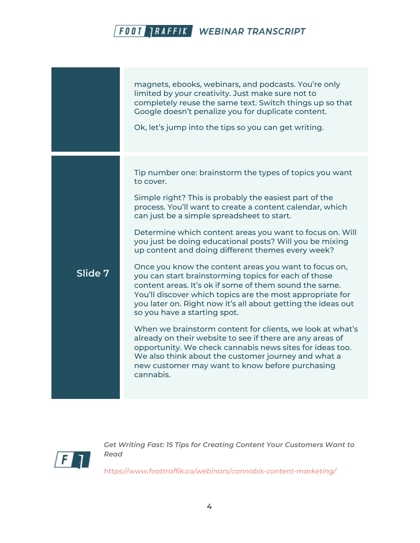|         | magnets, ebooks, webinars, and podcasts. You're only<br>limited by your creativity. Just make sure not to<br>completely reuse the same text. Switch things up so that<br>Google doesn't penalize you for duplicate content.<br>Ok, let's jump into the tips so you can get writing.                                                                                                                                                                                                                                                                                                                                                                                                                                                                                                                                                                                                                                                                                                                                                                                       |
|---------|---------------------------------------------------------------------------------------------------------------------------------------------------------------------------------------------------------------------------------------------------------------------------------------------------------------------------------------------------------------------------------------------------------------------------------------------------------------------------------------------------------------------------------------------------------------------------------------------------------------------------------------------------------------------------------------------------------------------------------------------------------------------------------------------------------------------------------------------------------------------------------------------------------------------------------------------------------------------------------------------------------------------------------------------------------------------------|
| Slide 7 | Tip number one: brainstorm the types of topics you want<br>to cover.<br>Simple right? This is probably the easiest part of the<br>process. You'll want to create a content calendar, which<br>can just be a simple spreadsheet to start.<br>Determine which content areas you want to focus on. Will<br>you just be doing educational posts? Will you be mixing<br>up content and doing different themes every week?<br>Once you know the content areas you want to focus on,<br>you can start brainstorming topics for each of those<br>content areas. It's ok if some of them sound the same.<br>You'll discover which topics are the most appropriate for<br>you later on. Right now it's all about getting the ideas out<br>so you have a starting spot.<br>When we brainstorm content for clients, we look at what's<br>already on their website to see if there are any areas of<br>opportunity. We check cannabis news sites for ideas too.<br>We also think about the customer journey and what a<br>new customer may want to know before purchasing<br>cannabis. |



*Get Writing Fast: 15 Tips for Creating Content Your Customers Want to Read*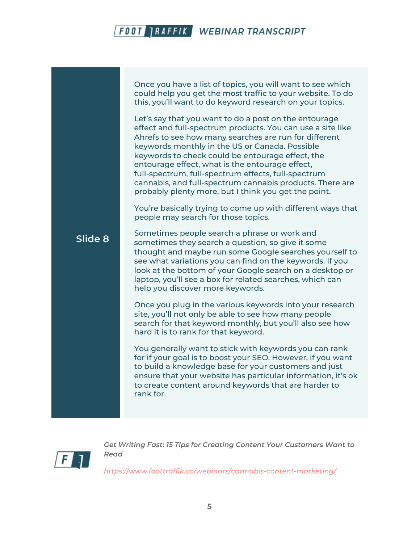**Slide 8** Once you have a list of topics, you will want to see which could help you get the most traffic to your website. To do this, you'll want to do keyword research on your topics. Let's say that you want to do a post on the entourage effect and full-spectrum products. You can use a site like Ahrefs to see how many searches are run for different keywords monthly in the US or Canada. Possible keywords to check could be entourage effect, the entourage effect, what is the entourage effect, full-spectrum, full-spectrum effects, full-spectrum cannabis, and full-spectrum cannabis products. There are probably plenty more, but I think you get the point. You're basically trying to come up with different ways that people may search for those topics. Sometimes people search a phrase or work and sometimes they search a question, so give it some thought and maybe run some Google searches yourself to see what variations you can find on the keywords. If you look at the bottom of your Google search on a desktop or laptop, you'll see a box for related searches, which can help you discover more keywords. Once you plug in the various keywords into your research site, you'll not only be able to see how many people

hard it is to rank for that keyword.

You generally want to stick with keywords you can rank for if your goal is to boost your SEO. However, if you want to build a knowledge base for your customers and just ensure that your website has particular information, it's ok to create content around keywords that are harder to rank for.

search for that keyword monthly, but you'll also see how



*Get Writing Fast: 15 Tips for Creating Content Your Customers Want to Read*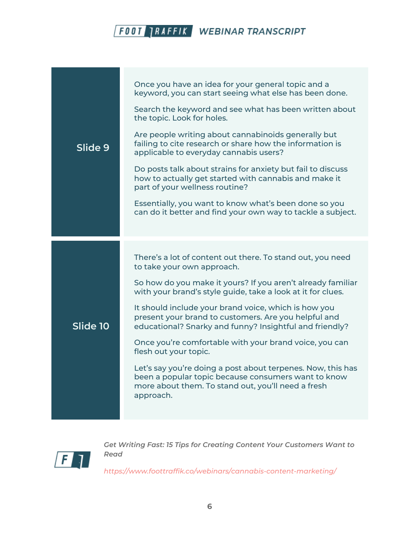|          | Once you have an idea for your general topic and a<br>keyword, you can start seeing what else has been done.                                                                          |
|----------|---------------------------------------------------------------------------------------------------------------------------------------------------------------------------------------|
| Slide 9  | Search the keyword and see what has been written about<br>the topic. Look for holes.                                                                                                  |
|          | Are people writing about cannabinoids generally but<br>failing to cite research or share how the information is<br>applicable to everyday cannabis users?                             |
|          | Do posts talk about strains for anxiety but fail to discuss<br>how to actually get started with cannabis and make it<br>part of your wellness routine?                                |
|          | Essentially, you want to know what's been done so you<br>can do it better and find your own way to tackle a subject.                                                                  |
|          |                                                                                                                                                                                       |
|          | There's a lot of content out there. To stand out, you need                                                                                                                            |
|          | to take your own approach.                                                                                                                                                            |
|          | So how do you make it yours? If you aren't already familiar<br>with your brand's style guide, take a look at it for clues.                                                            |
| Slide 10 | It should include your brand voice, which is how you<br>present your brand to customers. Are you helpful and<br>educational? Snarky and funny? Insightful and friendly?               |
|          | Once you're comfortable with your brand voice, you can<br>flesh out your topic.                                                                                                       |
|          | Let's say you're doing a post about terpenes. Now, this has<br>been a popular topic because consumers want to know<br>more about them. To stand out, you'll need a fresh<br>approach. |



*Get Writing Fast: 15 Tips for Creating Content Your Customers Want to Read*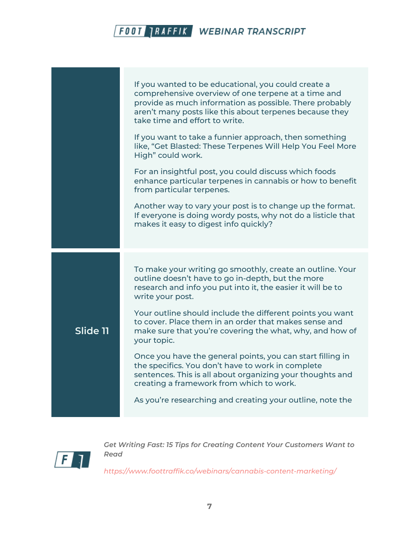



*Get Writing Fast: 15 Tips for Creating Content Your Customers Want to Read*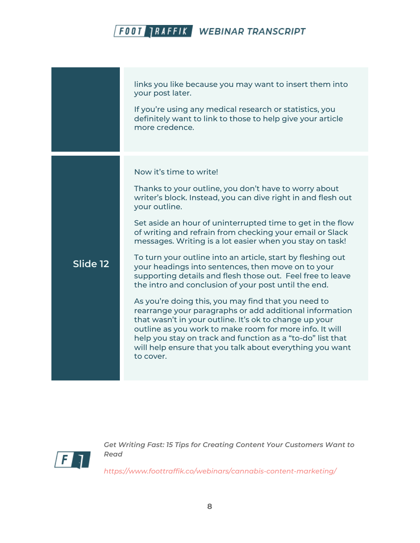

*Get Writing Fast: 15 Tips for Creating Content Your Customers Want to Read*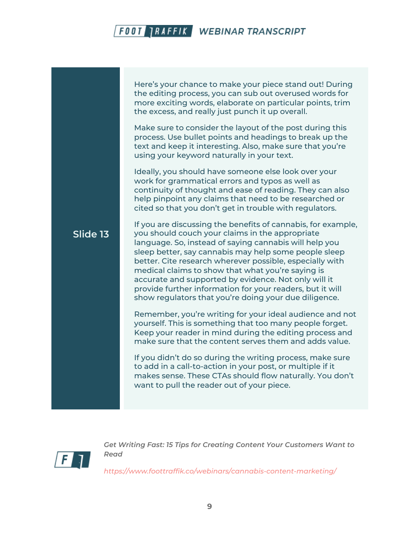Here's your chance to make your piece stand out! During the editing process, you can sub out overused words for more exciting words, elaborate on particular points, trim the excess, and really just punch it up overall.

Make sure to consider the layout of the post during this process. Use bullet points and headings to break up the text and keep it interesting. Also, make sure that you're using your keyword naturally in your text.

Ideally, you should have someone else look over your work for grammatical errors and typos as well as continuity of thought and ease of reading. They can also help pinpoint any claims that need to be researched or cited so that you don't get in trouble with regulators.

#### **Slide 13**

If you are discussing the benefits of cannabis, for example, you should couch your claims in the appropriate language. So, instead of saying cannabis will help you sleep better, say cannabis may help some people sleep better. Cite research wherever possible, especially with medical claims to show that what you're saying is accurate and supported by evidence. Not only will it provide further information for your readers, but it will show regulators that you're doing your due diligence.

Remember, you're writing for your ideal audience and not yourself. This is something that too many people forget. Keep your reader in mind during the editing process and make sure that the content serves them and adds value.

If you didn't do so during the writing process, make sure to add in a call-to-action in your post, or multiple if it makes sense. These CTAs should flow naturally. You don't want to pull the reader out of your piece.



*Get Writing Fast: 15 Tips for Creating Content Your Customers Want to Read*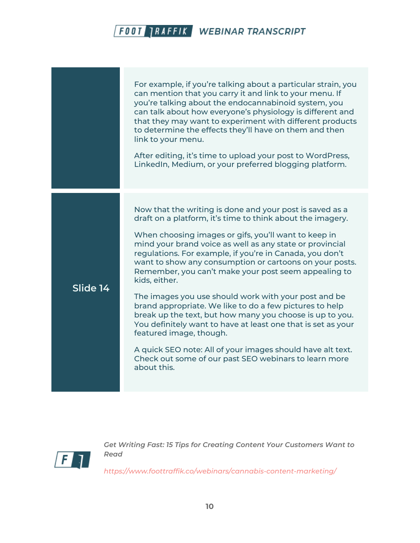|          | For example, if you're talking about a particular strain, you<br>can mention that you carry it and link to your menu. If<br>you're talking about the endocannabinoid system, you<br>can talk about how everyone's physiology is different and<br>that they may want to experiment with different products<br>to determine the effects they'll have on them and then<br>link to your menu.<br>After editing, it's time to upload your post to WordPress,<br>LinkedIn, Medium, or your preferred blogging platform.                                                                                                                                                                                                                                                                                                                                          |
|----------|------------------------------------------------------------------------------------------------------------------------------------------------------------------------------------------------------------------------------------------------------------------------------------------------------------------------------------------------------------------------------------------------------------------------------------------------------------------------------------------------------------------------------------------------------------------------------------------------------------------------------------------------------------------------------------------------------------------------------------------------------------------------------------------------------------------------------------------------------------|
| Slide 14 | Now that the writing is done and your post is saved as a<br>draft on a platform, it's time to think about the imagery.<br>When choosing images or gifs, you'll want to keep in<br>mind your brand voice as well as any state or provincial<br>regulations. For example, if you're in Canada, you don't<br>want to show any consumption or cartoons on your posts.<br>Remember, you can't make your post seem appealing to<br>kids, either.<br>The images you use should work with your post and be<br>brand appropriate. We like to do a few pictures to help<br>break up the text, but how many you choose is up to you.<br>You definitely want to have at least one that is set as your<br>featured image, though.<br>A quick SEO note: All of your images should have alt text.<br>Check out some of our past SEO webinars to learn more<br>about this. |



*Get Writing Fast: 15 Tips for Creating Content Your Customers Want to Read*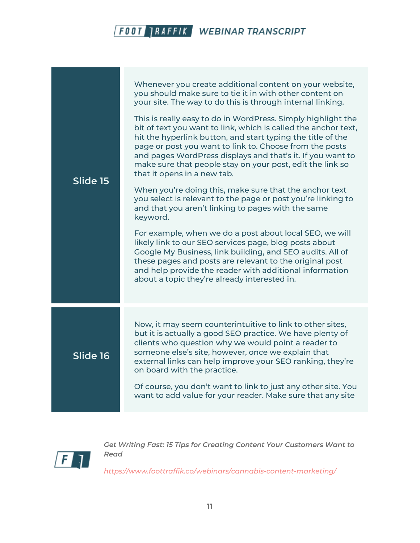| Slide 15 | Whenever you create additional content on your website,<br>you should make sure to tie it in with other content on<br>your site. The way to do this is through internal linking.<br>This is really easy to do in WordPress. Simply highlight the<br>bit of text you want to link, which is called the anchor text,<br>hit the hyperlink button, and start typing the title of the<br>page or post you want to link to. Choose from the posts<br>and pages WordPress displays and that's it. If you want to<br>make sure that people stay on your post, edit the link so<br>that it opens in a new tab.<br>When you're doing this, make sure that the anchor text<br>you select is relevant to the page or post you're linking to<br>and that you aren't linking to pages with the same<br>keyword.<br>For example, when we do a post about local SEO, we will<br>likely link to our SEO services page, blog posts about<br>Google My Business, link building, and SEO audits. All of<br>these pages and posts are relevant to the original post<br>and help provide the reader with additional information<br>about a topic they're already interested in. |
|----------|------------------------------------------------------------------------------------------------------------------------------------------------------------------------------------------------------------------------------------------------------------------------------------------------------------------------------------------------------------------------------------------------------------------------------------------------------------------------------------------------------------------------------------------------------------------------------------------------------------------------------------------------------------------------------------------------------------------------------------------------------------------------------------------------------------------------------------------------------------------------------------------------------------------------------------------------------------------------------------------------------------------------------------------------------------------------------------------------------------------------------------------------------------|
| Slide 16 | Now, it may seem counterintuitive to link to other sites,<br>but it is actually a good SEO practice. We have plenty of<br>clients who question why we would point a reader to<br>someone else's site, however, once we explain that<br>external links can help improve your SEO ranking, they're<br>on board with the practice.<br>Of course, you don't want to link to just any other site. You<br>want to add value for your reader. Make sure that any site                                                                                                                                                                                                                                                                                                                                                                                                                                                                                                                                                                                                                                                                                             |



*Get Writing Fast: 15 Tips for Creating Content Your Customers Want to Read*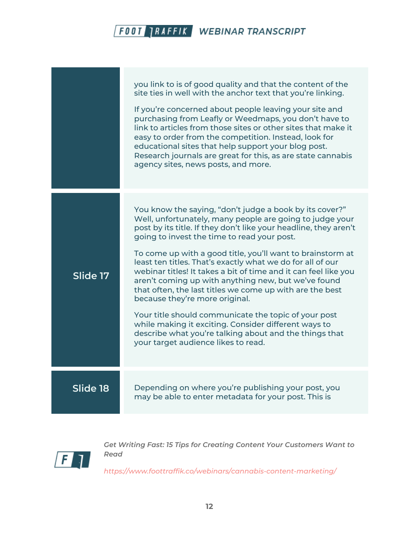|          | you link to is of good quality and that the content of the<br>site ties in well with the anchor text that you're linking.<br>If you're concerned about people leaving your site and<br>purchasing from Leafly or Weedmaps, you don't have to<br>link to articles from those sites or other sites that make it<br>easy to order from the competition. Instead, look for<br>educational sites that help support your blog post.<br>Research journals are great for this, as are state cannabis<br>agency sites, news posts, and more.                                                                                                                                                                                                                                                                         |
|----------|-------------------------------------------------------------------------------------------------------------------------------------------------------------------------------------------------------------------------------------------------------------------------------------------------------------------------------------------------------------------------------------------------------------------------------------------------------------------------------------------------------------------------------------------------------------------------------------------------------------------------------------------------------------------------------------------------------------------------------------------------------------------------------------------------------------|
| Slide 17 | You know the saying, "don't judge a book by its cover?"<br>Well, unfortunately, many people are going to judge your<br>post by its title. If they don't like your headline, they aren't<br>going to invest the time to read your post.<br>To come up with a good title, you'll want to brainstorm at<br>least ten titles. That's exactly what we do for all of our<br>webinar titles! It takes a bit of time and it can feel like you<br>aren't coming up with anything new, but we've found<br>that often, the last titles we come up with are the best<br>because they're more original.<br>Your title should communicate the topic of your post<br>while making it exciting. Consider different ways to<br>describe what you're talking about and the things that<br>your target audience likes to read. |
| Slide 18 | Depending on where you're publishing your post, you<br>may be able to enter metadata for your post. This is                                                                                                                                                                                                                                                                                                                                                                                                                                                                                                                                                                                                                                                                                                 |



*Get Writing Fast: 15 Tips for Creating Content Your Customers Want to Read*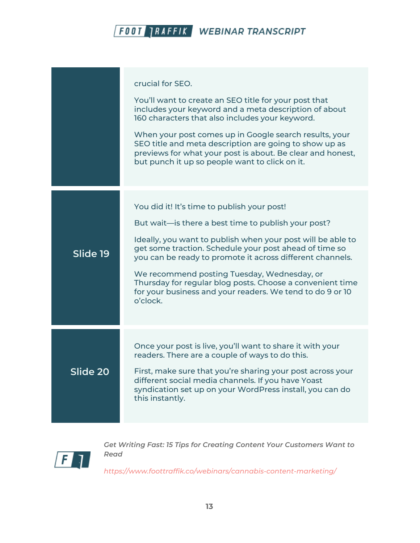|          | crucial for SEO.<br>You'll want to create an SEO title for your post that<br>includes your keyword and a meta description of about<br>160 characters that also includes your keyword.<br>When your post comes up in Google search results, your<br>SEO title and meta description are going to show up as<br>previews for what your post is about. Be clear and honest,<br>but punch it up so people want to click on it.                                                     |
|----------|-------------------------------------------------------------------------------------------------------------------------------------------------------------------------------------------------------------------------------------------------------------------------------------------------------------------------------------------------------------------------------------------------------------------------------------------------------------------------------|
| Slide 19 | You did it! It's time to publish your post!<br>But wait—is there a best time to publish your post?<br>Ideally, you want to publish when your post will be able to<br>get some traction. Schedule your post ahead of time so<br>you can be ready to promote it across different channels.<br>We recommend posting Tuesday, Wednesday, or<br>Thursday for regular blog posts. Choose a convenient time<br>for your business and your readers. We tend to do 9 or 10<br>o'clock. |
| Slide 20 | Once your post is live, you'll want to share it with your<br>readers. There are a couple of ways to do this.<br>First, make sure that you're sharing your post across your<br>different social media channels. If you have Yoast<br>syndication set up on your WordPress install, you can do<br>this instantly.                                                                                                                                                               |



*Get Writing Fast: 15 Tips for Creating Content Your Customers Want to Read*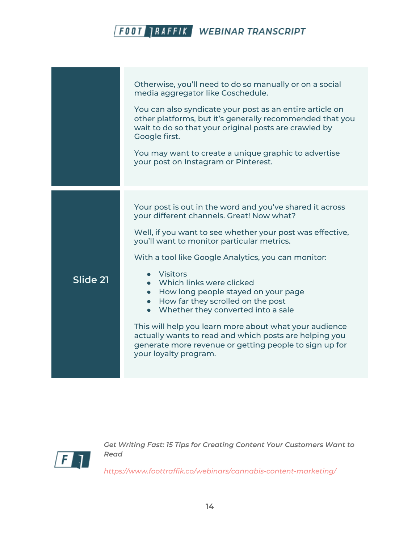|          | Otherwise, you'll need to do so manually or on a social<br>media aggregator like Coschedule.<br>You can also syndicate your post as an entire article on<br>other platforms, but it's generally recommended that you<br>wait to do so that your original posts are crawled by<br>Google first.<br>You may want to create a unique graphic to advertise<br>your post on Instagram or Pinterest.                                                                                                                                                                                                                                                     |
|----------|----------------------------------------------------------------------------------------------------------------------------------------------------------------------------------------------------------------------------------------------------------------------------------------------------------------------------------------------------------------------------------------------------------------------------------------------------------------------------------------------------------------------------------------------------------------------------------------------------------------------------------------------------|
| Slide 21 | Your post is out in the word and you've shared it across<br>your different channels. Great! Now what?<br>Well, if you want to see whether your post was effective,<br>you'll want to monitor particular metrics.<br>With a tool like Google Analytics, you can monitor:<br>• Visitors<br>• Which links were clicked<br>• How long people stayed on your page<br>• How far they scrolled on the post<br>• Whether they converted into a sale<br>This will help you learn more about what your audience<br>actually wants to read and which posts are helping you<br>generate more revenue or getting people to sign up for<br>your loyalty program. |



*Get Writing Fast: 15 Tips for Creating Content Your Customers Want to Read*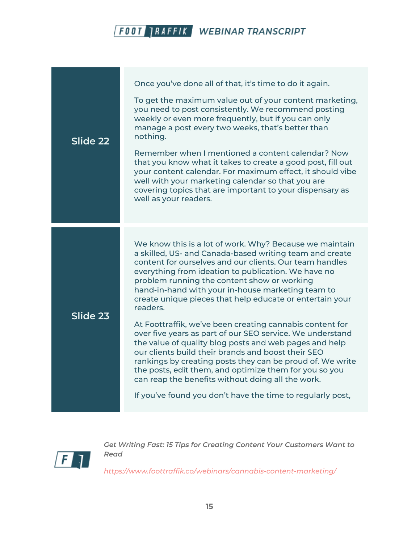| Slide 22 | Once you've done all of that, it's time to do it again.<br>To get the maximum value out of your content marketing,<br>you need to post consistently. We recommend posting<br>weekly or even more frequently, but if you can only<br>manage a post every two weeks, that's better than<br>nothing.<br>Remember when I mentioned a content calendar? Now<br>that you know what it takes to create a good post, fill out<br>your content calendar. For maximum effect, it should vibe<br>well with your marketing calendar so that you are<br>covering topics that are important to your dispensary as<br>well as your readers. |
|----------|------------------------------------------------------------------------------------------------------------------------------------------------------------------------------------------------------------------------------------------------------------------------------------------------------------------------------------------------------------------------------------------------------------------------------------------------------------------------------------------------------------------------------------------------------------------------------------------------------------------------------|
|          |                                                                                                                                                                                                                                                                                                                                                                                                                                                                                                                                                                                                                              |
| Slide 23 | We know this is a lot of work. Why? Because we maintain<br>a skilled, US- and Canada-based writing team and create<br>content for ourselves and our clients. Our team handles<br>everything from ideation to publication. We have no<br>problem running the content show or working<br>hand-in-hand with your in-house marketing team to<br>create unique pieces that help educate or entertain your<br>readers.                                                                                                                                                                                                             |
|          | At Foottraffik, we've been creating cannabis content for<br>over five years as part of our SEO service. We understand<br>the value of quality blog posts and web pages and help<br>our clients build their brands and boost their SEO<br>rankings by creating posts they can be proud of. We write<br>the posts, edit them, and optimize them for you so you<br>can reap the benefits without doing all the work.                                                                                                                                                                                                            |
|          | If you've found you don't have the time to regularly post,                                                                                                                                                                                                                                                                                                                                                                                                                                                                                                                                                                   |



*Get Writing Fast: 15 Tips for Creating Content Your Customers Want to Read*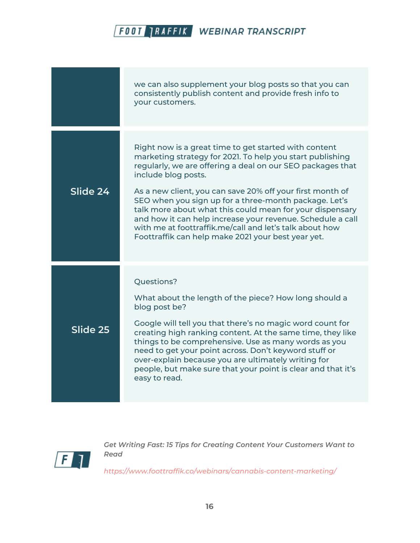|          | we can also supplement your blog posts so that you can<br>consistently publish content and provide fresh info to<br>your customers.                                                                                                                                                                                                                                                                                                                                                                                                                                      |
|----------|--------------------------------------------------------------------------------------------------------------------------------------------------------------------------------------------------------------------------------------------------------------------------------------------------------------------------------------------------------------------------------------------------------------------------------------------------------------------------------------------------------------------------------------------------------------------------|
| Slide 24 | Right now is a great time to get started with content<br>marketing strategy for 2021. To help you start publishing<br>regularly, we are offering a deal on our SEO packages that<br>include blog posts.<br>As a new client, you can save 20% off your first month of<br>SEO when you sign up for a three-month package. Let's<br>talk more about what this could mean for your dispensary<br>and how it can help increase your revenue. Schedule a call<br>with me at foottraffik.me/call and let's talk about how<br>Foottraffik can help make 2021 your best year yet. |
| Slide 25 | Questions?<br>What about the length of the piece? How long should a<br>blog post be?<br>Google will tell you that there's no magic word count for<br>creating high ranking content. At the same time, they like<br>things to be comprehensive. Use as many words as you<br>need to get your point across. Don't keyword stuff or<br>over-explain because you are ultimately writing for<br>people, but make sure that your point is clear and that it's<br>easy to read.                                                                                                 |



*Get Writing Fast: 15 Tips for Creating Content Your Customers Want to Read*